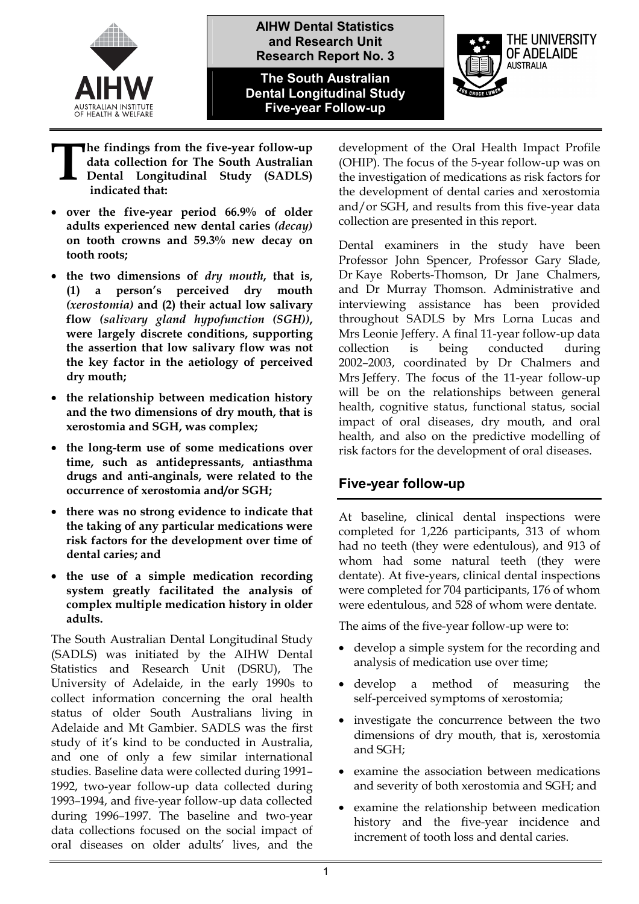

**AIHW Dental Statistics and Research Unit Research Report No. 3**

**The South Australian Dental Longitudinal Study Five-year Follow-up** 



- **he findings from the five-year follow-up data collection for The South Australian Dental Longitudinal Study (SADLS) indicated that: T**
- **over the five-year period 66.9% of older adults experienced new dental caries** *(decay)* **on tooth crowns and 59.3% new decay on tooth roots;**
- **the two dimensions of** *dry mouth***, that is, (1) a person's perceived dry mouth**  *(xerostomia)* **and (2) their actual low salivary flow** *(salivary gland hypofunction (SGH))***, were largely discrete conditions, supporting the assertion that low salivary flow was not the key factor in the aetiology of perceived dry mouth;**
- **the relationship between medication history and the two dimensions of dry mouth, that is xerostomia and SGH, was complex;**
- **the long-term use of some medications over time, such as antidepressants, antiasthma drugs and anti-anginals, were related to the occurrence of xerostomia and/or SGH;**
- **there was no strong evidence to indicate that the taking of any particular medications were risk factors for the development over time of dental caries; and**
- **the use of a simple medication recording system greatly facilitated the analysis of complex multiple medication history in older adults.**

The South Australian Dental Longitudinal Study (SADLS) was initiated by the AIHW Dental Statistics and Research Unit (DSRU), The University of Adelaide, in the early 1990s to collect information concerning the oral health status of older South Australians living in Adelaide and Mt Gambier. SADLS was the first study of it's kind to be conducted in Australia, and one of only a few similar international studies. Baseline data were collected during 1991– 1992, two-year follow-up data collected during 1993–1994, and five-year follow-up data collected during 1996–1997. The baseline and two-year data collections focused on the social impact of oral diseases on older adults' lives, and the development of the Oral Health Impact Profile (OHIP). The focus of the 5-year follow-up was on the investigation of medications as risk factors for the development of dental caries and xerostomia and/or SGH, and results from this five-year data collection are presented in this report.

Dental examiners in the study have been Professor John Spencer, Professor Gary Slade, Dr Kaye Roberts-Thomson, Dr Jane Chalmers, and Dr Murray Thomson. Administrative and interviewing assistance has been provided throughout SADLS by Mrs Lorna Lucas and Mrs Leonie Jeffery. A final 11-year follow-up data collection is being conducted during 2002–2003, coordinated by Dr Chalmers and Mrs Jeffery. The focus of the 11-year follow-up will be on the relationships between general health, cognitive status, functional status, social impact of oral diseases, dry mouth, and oral health, and also on the predictive modelling of risk factors for the development of oral diseases.

## **Five-year follow-up**

At baseline, clinical dental inspections were completed for 1,226 participants, 313 of whom had no teeth (they were edentulous), and 913 of whom had some natural teeth (they were dentate). At five-years, clinical dental inspections were completed for 704 participants, 176 of whom were edentulous, and 528 of whom were dentate.

The aims of the five-year follow-up were to:

- develop a simple system for the recording and analysis of medication use over time;
- develop a method of measuring the self-perceived symptoms of xerostomia;
- investigate the concurrence between the two dimensions of dry mouth, that is, xerostomia and SGH;
- examine the association between medications and severity of both xerostomia and SGH; and
- examine the relationship between medication history and the five-year incidence and increment of tooth loss and dental caries.